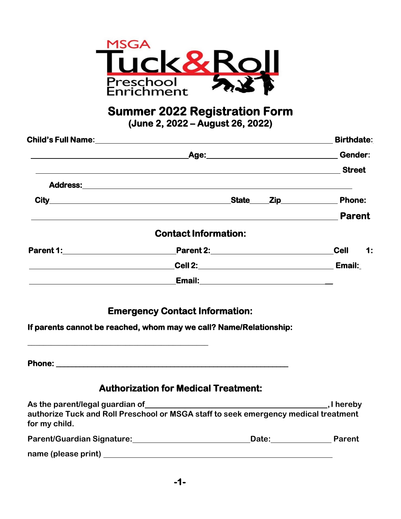

**Summer 2022 Registration Form (June 2, 2022 – August 26, 2022)** 

|                                                                                                                       |                                                                                                                                                                                                                                     | <b>Birthdate:</b> |
|-----------------------------------------------------------------------------------------------------------------------|-------------------------------------------------------------------------------------------------------------------------------------------------------------------------------------------------------------------------------------|-------------------|
| <u> 1989 - Jan Samuel Barbara, martin da shekarar 1989 - An tsara tsara 1989 - An tsara tsara 1989 - An tsara tsa</u> | Age: Gender:                                                                                                                                                                                                                        |                   |
|                                                                                                                       |                                                                                                                                                                                                                                     | <b>Street</b>     |
|                                                                                                                       | Address: <u>Address:</u> Address: Address: Address: Address: Address: Address: Address: Address: Address: Address: Address: Address: Address: Address: Address: Address: Address: Address: Address: Address: Address: Address: Addr |                   |
|                                                                                                                       | State_____Zip_____________                                                                                                                                                                                                          | <b>Phone:</b>     |
|                                                                                                                       |                                                                                                                                                                                                                                     | <b>Parent</b>     |
|                                                                                                                       | <b>Contact Information:</b>                                                                                                                                                                                                         |                   |
|                                                                                                                       |                                                                                                                                                                                                                                     | Cell 1:           |
|                                                                                                                       | Cell 2:__________________________________                                                                                                                                                                                           | Email:            |
|                                                                                                                       |                                                                                                                                                                                                                                     |                   |

**Emergency Contact Information:** 

**If parents cannot be reached, whom may we call? Name/Relationship:**

**Phone: \_\_\_\_\_\_\_\_\_\_\_\_\_\_\_\_\_\_\_\_\_\_\_\_\_\_\_\_\_\_\_\_\_\_\_\_\_\_\_\_\_\_\_\_\_\_\_\_\_\_\_\_\_\_\_\_\_\_\_** 

**\_\_\_\_\_\_\_\_\_\_\_\_\_\_\_\_\_\_\_\_\_\_\_\_\_\_\_\_\_\_\_\_\_\_\_\_\_\_\_\_\_\_\_\_\_\_**

#### **Authorization for Medical Treatment:**

| As the parent/legal guardian of                                                                      |              | $,$ I hereby |
|------------------------------------------------------------------------------------------------------|--------------|--------------|
| authorize Tuck and Roll Preschool or MSGA staff to seek emergency medical treatment<br>for my child. |              |              |
| <b>Parent/Guardian Signature:</b>                                                                    | <b>Date:</b> | Parent       |
| name (please print)                                                                                  |              |              |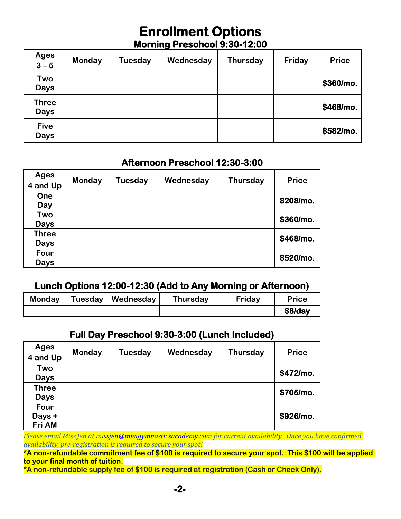# **Enrollment Options Morning Preschool 9:30-12:00**

| <b>Ages</b><br>$3 - 5$      | <b>Monday</b> | Tuesday | Wednesday | <b>Thursday</b> | Friday | <b>Price</b> |
|-----------------------------|---------------|---------|-----------|-----------------|--------|--------------|
| Two<br><b>Days</b>          |               |         |           |                 |        | \$360/mo.    |
| <b>Three</b><br><b>Days</b> |               |         |           |                 |        | \$468/mo.    |
| <b>Five</b><br><b>Days</b>  |               |         |           |                 |        | \$582/mo.    |

#### **Afternoon Preschool 12:30-3:00**

| <b>Ages</b><br>4 and Up     | Monday | Tuesday | Wednesday | <b>Thursday</b> | <b>Price</b> |
|-----------------------------|--------|---------|-----------|-----------------|--------------|
| One<br>Day                  |        |         |           |                 | \$208/mo.    |
| Two<br><b>Days</b>          |        |         |           |                 | \$360/mo.    |
| <b>Three</b><br><b>Days</b> |        |         |           |                 | \$468/mo.    |
| Four<br><b>Days</b>         |        |         |           |                 | \$520/mo.    |

## **Lunch Options 12:00-12:30 (Add to Any Morning or Afternoon)**

| <b>Monday</b> | Tuesday   Wednesday | Thursday | Friday | <b>Price</b> |
|---------------|---------------------|----------|--------|--------------|
|               |                     |          |        | $$8$ /dav    |

## **Full Day Preschool 9:30-3:00 (Lunch Included)**

| <b>Ages</b><br>4 and Up     | <b>Monday</b> | <b>Tuesday</b> | Wednesday | <b>Thursday</b> | <b>Price</b> |
|-----------------------------|---------------|----------------|-----------|-----------------|--------------|
| Two<br><b>Days</b>          |               |                |           |                 | \$472/mo.    |
| <b>Three</b><br><b>Days</b> |               |                |           |                 | \$705/mo.    |
| Four<br>Days +<br>Fri AM    |               |                |           |                 | \$926/mo.    |

*Please email Miss Jen a[t missjen@mtsigymnasticsacademy.com](mailto:missjen@mtsigymnasticsacademy.com) for current availability. Once you have confirmed availability, pre-registration is required to secure your spot!*

**\*A non-refundable commitment fee of \$100 is required to secure your spot. This \$100 will be applied to your final month of tuition.**

**\*A non-refundable supply fee of \$100 is required at registration (Cash or Check Only).**